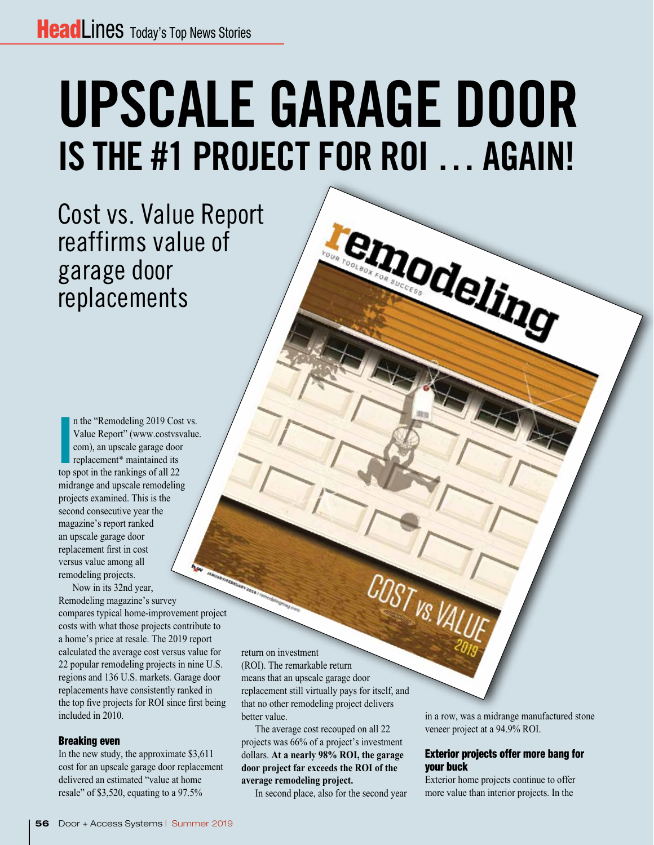# UPSCALE GARAGE DOOR IS THE #1 PROJECT FOR ROI … AGAIN!

emodeling

Cost vs. Value Report reaffirms value of garage door replacements

In the "Remodeling 2019 Cos<br>
Value Report" (www.costvsv<br>
com), an upscale garage door<br>
replacement\* maintained its<br>
top spot in the rankings of all 22 n the "Remodeling 2019 Cost vs. Value Report" (www.costvsvalue. com), an upscale garage door replacement\* maintained its midrange and upscale remodeling projects examined. This is the second consecutive year the magazine's report ranked an upscale garage door replacement first in cost versus value among all remodeling projects.

Now in its 32nd year, Remodeling magazine's survey compares typical home-improvement project costs with what those projects contribute to a home's price at resale. The 2019 report calculated the average cost versus value for 22 popular remodeling projects in nine U.S. regions and 136 U.S. markets. Garage door replacements have consistently ranked in the top five projects for ROI since first being included in 2010.

#### Breaking even

In the new study, the approximate \$3,611 cost for an upscale garage door replacement delivered an estimated "value at home resale" of \$3,520, equating to a 97.5%

return on investment (ROI). The remarkable return means that an upscale garage door replacement still virtually pays for itself, and that no other remodeling project delivers better value.

The average cost recouped on all 22 projects was 66% of a project's investment dollars. **At a nearly 98% ROI, the garage door project far exceeds the ROI of the average remodeling project.** 

In second place, also for the second year

in a row, was a midrange manufactured stone veneer project at a 94.9% ROI.

#### Exterior projects offer more bang for your buck

Exterior home projects continue to offer more value than interior projects. In the